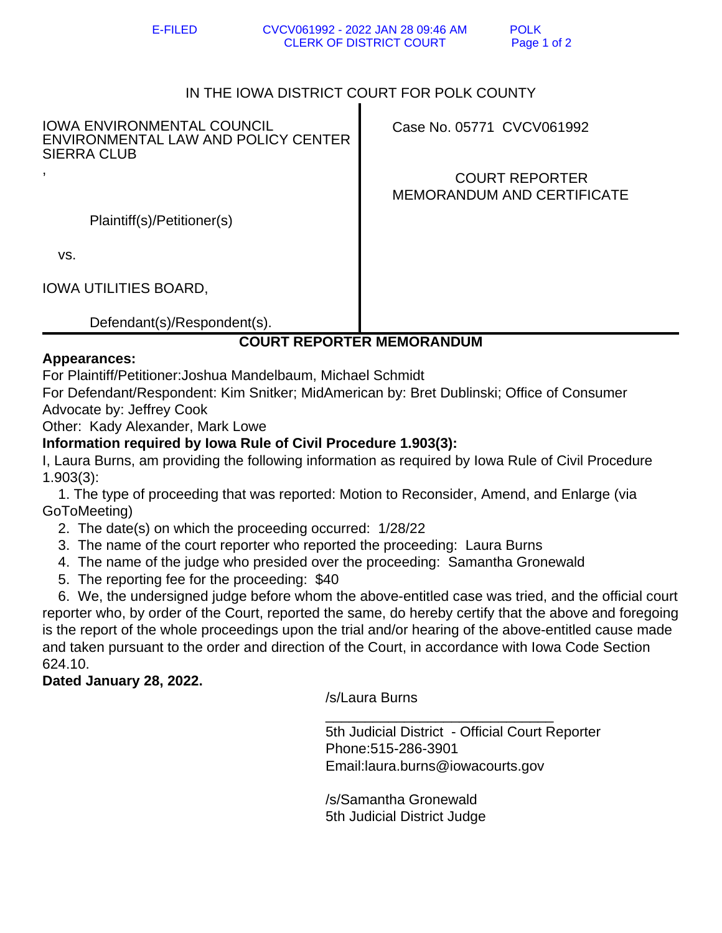E-FILED CVCV061992 - 2022 JAN 28 09:46 AM POLK CLERK OF DISTRICT COURT Page 1 of 2

# IN THE IOWA DISTRICT COURT FOR POLK COUNTY

IOWA ENVIRONMENTAL COUNCIL ENVIRONMENTAL LAW AND POLICY CENTER SIERRA CLUB ,

Case No. 05771 CVCV061992

 COURT REPORTER MEMORANDUM AND CERTIFICATE

Plaintiff(s)/Petitioner(s)

vs.

IOWA UTILITIES BOARD,

Defendant(s)/Respondent(s).

# **COURT REPORTER MEMORANDUM**

#### **Appearances:**

For Plaintiff/Petitioner:Joshua Mandelbaum, Michael Schmidt

For Defendant/Respondent: Kim Snitker; MidAmerican by: Bret Dublinski; Office of Consumer Advocate by: Jeffrey Cook

Other: Kady Alexander, Mark Lowe

## **Information required by Iowa Rule of Civil Procedure 1.903(3):**

I, Laura Burns, am providing the following information as required by Iowa Rule of Civil Procedure 1.903(3):

 1. The type of proceeding that was reported: Motion to Reconsider, Amend, and Enlarge (via GoToMeeting)

- 2. The date(s) on which the proceeding occurred: 1/28/22
- 3. The name of the court reporter who reported the proceeding: Laura Burns

 $\overline{\phantom{a}}$  ,  $\overline{\phantom{a}}$  ,  $\overline{\phantom{a}}$  ,  $\overline{\phantom{a}}$  ,  $\overline{\phantom{a}}$  ,  $\overline{\phantom{a}}$  ,  $\overline{\phantom{a}}$  ,  $\overline{\phantom{a}}$  ,  $\overline{\phantom{a}}$  ,  $\overline{\phantom{a}}$  ,  $\overline{\phantom{a}}$  ,  $\overline{\phantom{a}}$  ,  $\overline{\phantom{a}}$  ,  $\overline{\phantom{a}}$  ,  $\overline{\phantom{a}}$  ,  $\overline{\phantom{a}}$ 

- 4. The name of the judge who presided over the proceeding: Samantha Gronewald
- 5. The reporting fee for the proceeding: \$40

 6. We, the undersigned judge before whom the above-entitled case was tried, and the official court reporter who, by order of the Court, reported the same, do hereby certify that the above and foregoing is the report of the whole proceedings upon the trial and/or hearing of the above-entitled cause made and taken pursuant to the order and direction of the Court, in accordance with Iowa Code Section 624.10.

## **Dated January 28, 2022.**

/s/Laura Burns

 5th Judicial District - Official Court Reporter Phone:515-286-3901 Email:laura.burns@iowacourts.gov

 /s/Samantha Gronewald 5th Judicial District Judge